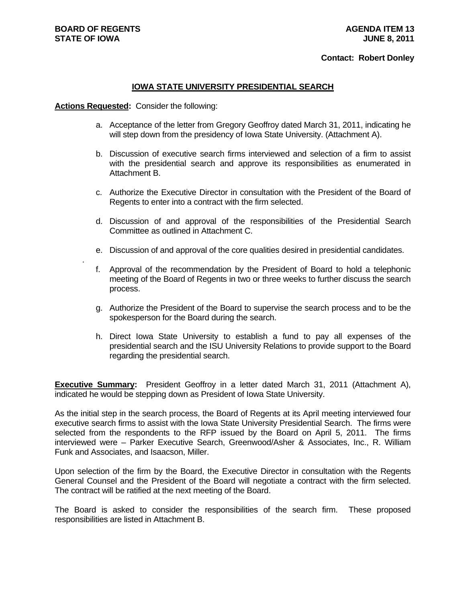.

#### **Contact: Robert Donley**

#### **IOWA STATE UNIVERSITY PRESIDENTIAL SEARCH**

#### **Actions Requested:** Consider the following:

- a. Acceptance of the letter from Gregory Geoffroy dated March 31, 2011, indicating he will step down from the presidency of Iowa State University. (Attachment A).
- b. Discussion of executive search firms interviewed and selection of a firm to assist with the presidential search and approve its responsibilities as enumerated in Attachment B.
- c. Authorize the Executive Director in consultation with the President of the Board of Regents to enter into a contract with the firm selected.
- d. Discussion of and approval of the responsibilities of the Presidential Search Committee as outlined in Attachment C.
- e. Discussion of and approval of the core qualities desired in presidential candidates.
- f. Approval of the recommendation by the President of Board to hold a telephonic meeting of the Board of Regents in two or three weeks to further discuss the search process.
- g. Authorize the President of the Board to supervise the search process and to be the spokesperson for the Board during the search.
- h. Direct Iowa State University to establish a fund to pay all expenses of the presidential search and the ISU University Relations to provide support to the Board regarding the presidential search.

**Executive Summary:** President Geoffroy in a letter dated March 31, 2011 (Attachment A), indicated he would be stepping down as President of Iowa State University.

As the initial step in the search process, the Board of Regents at its April meeting interviewed four executive search firms to assist with the Iowa State University Presidential Search. The firms were selected from the respondents to the RFP issued by the Board on April 5, 2011. The firms interviewed were – Parker Executive Search, Greenwood/Asher & Associates, Inc., R. William Funk and Associates, and Isaacson, Miller.

Upon selection of the firm by the Board, the Executive Director in consultation with the Regents General Counsel and the President of the Board will negotiate a contract with the firm selected. The contract will be ratified at the next meeting of the Board.

The Board is asked to consider the responsibilities of the search firm. These proposed responsibilities are listed in Attachment B.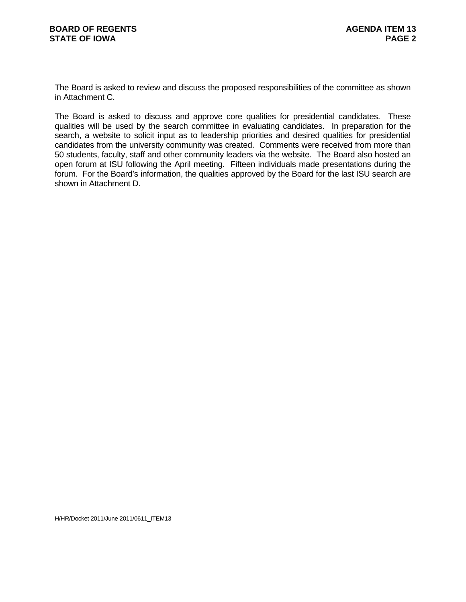The Board is asked to review and discuss the proposed responsibilities of the committee as shown in Attachment C.

The Board is asked to discuss and approve core qualities for presidential candidates. These qualities will be used by the search committee in evaluating candidates. In preparation for the search, a website to solicit input as to leadership priorities and desired qualities for presidential candidates from the university community was created. Comments were received from more than 50 students, faculty, staff and other community leaders via the website. The Board also hosted an open forum at ISU following the April meeting. Fifteen individuals made presentations during the forum. For the Board's information, the qualities approved by the Board for the last ISU search are shown in Attachment D.

H/HR/Docket 2011/June 2011/0611\_ITEM13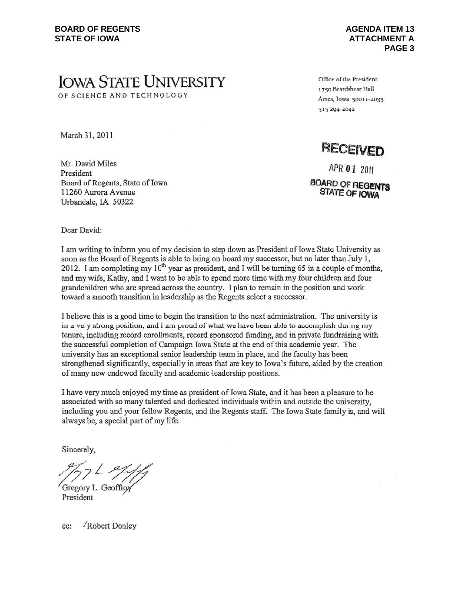# **IOWA STATE UNIVERSITY**

OF SCIENCE AND TECHNOLOGY

March 31, 2011

Mr. David Miles President Board of Regents, State of Iowa 11260 Aurora Avenue Urbandale, IA 50322

Office of the President 1750 Beardshear Hall Ames, lowa 50011-2035 515 204-2042

## RECEIVED

APR 01 2011

**BOARD OF REGENTS** STATE OF IOWA

Dear David:

I am writing to inform you of my decision to step down as President of Iowa State University as soon as the Board of Regents is able to bring on board my successor, but no later than July 1, 2012. I am completing my  $10^{th}$  year as president, and I will be turning 65 in a couple of months, and my wife, Kathy, and I want to be able to spend more time with my four children and four grandchildren who are spread across the country. I plan to remain in the position and work toward a smooth transition in leadership as the Regents select a successor.

I believe this is a good time to begin the transition to the next administration. The university is in a very strong position, and I am proud of what we have been able to accomplish during my tenure, including record enrollments, record sponsored funding, and in private fundraising with the successful completion of Campaign Iowa State at the end of this academic year. The university has an exceptional senior leadership team in place, and the faculty has been strengthened significantly, especially in areas that are key to Iowa's future, aided by the creation of many new endowed faculty and academic leadership positions.

I have very much enjoyed my time as president of Iowa State, and it has been a pleasure to be associated with so many talented and dedicated individuals within and outside the university, including you and your fellow Regents, and the Regents staff. The Iowa State family is, and will always be, a special part of my life.

Sincerely,

Gregory L. Geoffro President

cc: Robert Donley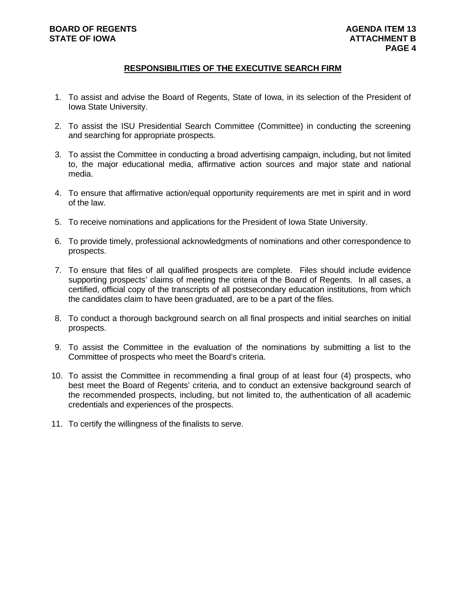## **BOARD OF REGENTS STATE OF IOWA**

## **RESPONSIBILITIES OF THE EXECUTIVE SEARCH FIRM**

- 1. To assist and advise the Board of Regents, State of Iowa, in its selection of the President of Iowa State University.
- 2. To assist the ISU Presidential Search Committee (Committee) in conducting the screening and searching for appropriate prospects.
- 3. To assist the Committee in conducting a broad advertising campaign, including, but not limited to, the major educational media, affirmative action sources and major state and national media.
- 4. To ensure that affirmative action/equal opportunity requirements are met in spirit and in word of the law.
- 5. To receive nominations and applications for the President of Iowa State University.
- 6. To provide timely, professional acknowledgments of nominations and other correspondence to prospects.
- 7. To ensure that files of all qualified prospects are complete. Files should include evidence supporting prospects' claims of meeting the criteria of the Board of Regents. In all cases, a certified, official copy of the transcripts of all postsecondary education institutions, from which the candidates claim to have been graduated, are to be a part of the files.
- 8. To conduct a thorough background search on all final prospects and initial searches on initial prospects.
- 9. To assist the Committee in the evaluation of the nominations by submitting a list to the Committee of prospects who meet the Board's criteria.
- 10. To assist the Committee in recommending a final group of at least four (4) prospects, who best meet the Board of Regents' criteria, and to conduct an extensive background search of the recommended prospects, including, but not limited to, the authentication of all academic credentials and experiences of the prospects.
- 11. To certify the willingness of the finalists to serve.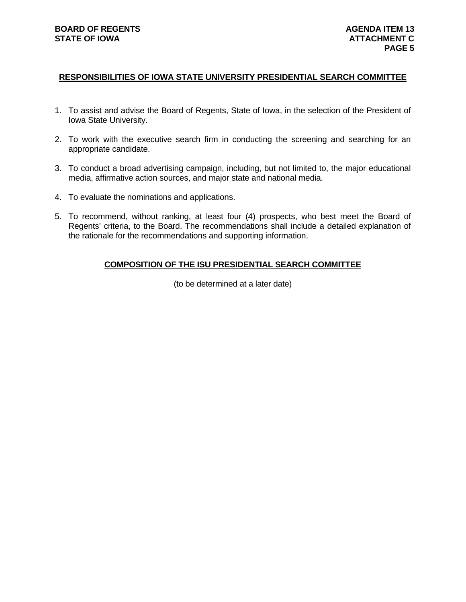#### **RESPONSIBILITIES OF IOWA STATE UNIVERSITY PRESIDENTIAL SEARCH COMMITTEE**

- 1. To assist and advise the Board of Regents, State of Iowa, in the selection of the President of Iowa State University.
- 2. To work with the executive search firm in conducting the screening and searching for an appropriate candidate.
- 3. To conduct a broad advertising campaign, including, but not limited to, the major educational media, affirmative action sources, and major state and national media.
- 4. To evaluate the nominations and applications.
- 5. To recommend, without ranking, at least four (4) prospects, who best meet the Board of Regents' criteria, to the Board. The recommendations shall include a detailed explanation of the rationale for the recommendations and supporting information.

#### **COMPOSITION OF THE ISU PRESIDENTIAL SEARCH COMMITTEE**

(to be determined at a later date)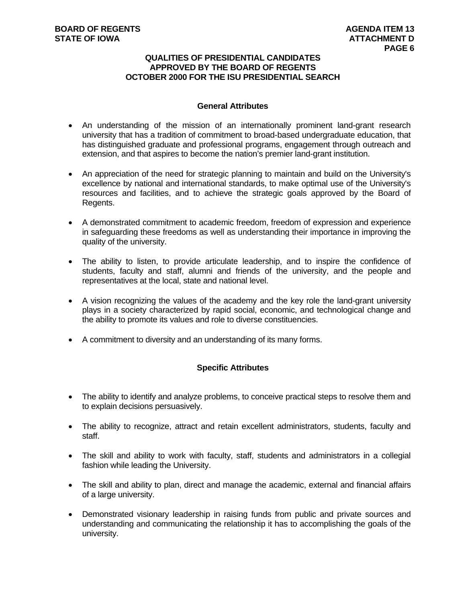#### **QUALITIES OF PRESIDENTIAL CANDIDATES APPROVED BY THE BOARD OF REGENTS OCTOBER 2000 FOR THE ISU PRESIDENTIAL SEARCH**

### **General Attributes**

- An understanding of the mission of an internationally prominent land-grant research university that has a tradition of commitment to broad-based undergraduate education, that has distinguished graduate and professional programs, engagement through outreach and extension, and that aspires to become the nation's premier land-grant institution.
- An appreciation of the need for strategic planning to maintain and build on the University's excellence by national and international standards, to make optimal use of the University's resources and facilities, and to achieve the strategic goals approved by the Board of Regents.
- A demonstrated commitment to academic freedom, freedom of expression and experience in safeguarding these freedoms as well as understanding their importance in improving the quality of the university.
- The ability to listen, to provide articulate leadership, and to inspire the confidence of students, faculty and staff, alumni and friends of the university, and the people and representatives at the local, state and national level.
- A vision recognizing the values of the academy and the key role the land-grant university plays in a society characterized by rapid social, economic, and technological change and the ability to promote its values and role to diverse constituencies.
- A commitment to diversity and an understanding of its many forms.

## **Specific Attributes**

- The ability to identify and analyze problems, to conceive practical steps to resolve them and to explain decisions persuasively.
- The ability to recognize, attract and retain excellent administrators, students, faculty and staff.
- The skill and ability to work with faculty, staff, students and administrators in a collegial fashion while leading the University.
- The skill and ability to plan, direct and manage the academic, external and financial affairs of a large university.
- Demonstrated visionary leadership in raising funds from public and private sources and understanding and communicating the relationship it has to accomplishing the goals of the university.